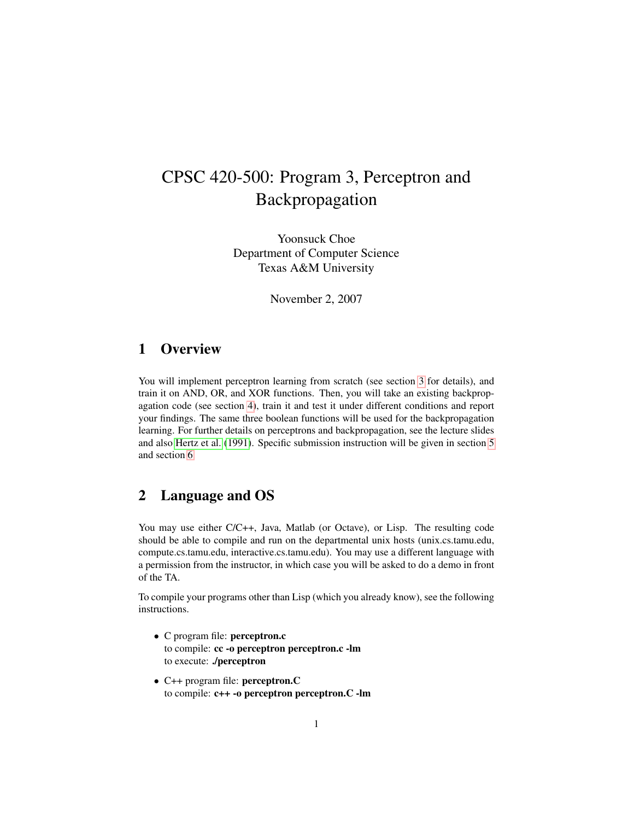# CPSC 420-500: Program 3, Perceptron and Backpropagation

Yoonsuck Choe Department of Computer Science Texas A&M University

November 2, 2007

### 1 Overview

You will implement perceptron learning from scratch (see section [3](#page-1-0) for details), and train it on AND, OR, and XOR functions. Then, you will take an existing backpropagation code (see section [4\)](#page-2-0), train it and test it under different conditions and report your findings. The same three boolean functions will be used for the backpropagation learning. For further details on perceptrons and backpropagation, see the lecture slides and also [Hertz et al.](#page-5-0) [\(1991\)](#page-5-0). Specific submission instruction will be given in section [5](#page-3-0) and section [6.](#page-4-0)

### 2 Language and OS

You may use either C/C++, Java, Matlab (or Octave), or Lisp. The resulting code should be able to compile and run on the departmental unix hosts (unix.cs.tamu.edu, compute.cs.tamu.edu, interactive.cs.tamu.edu). You may use a different language with a permission from the instructor, in which case you will be asked to do a demo in front of the TA.

To compile your programs other than Lisp (which you already know), see the following instructions.

- C program file: perceptron.c to compile: cc -o perceptron perceptron.c -lm to execute: ./perceptron
- C++ program file: perceptron.C to compile: c++ -o perceptron perceptron.C -lm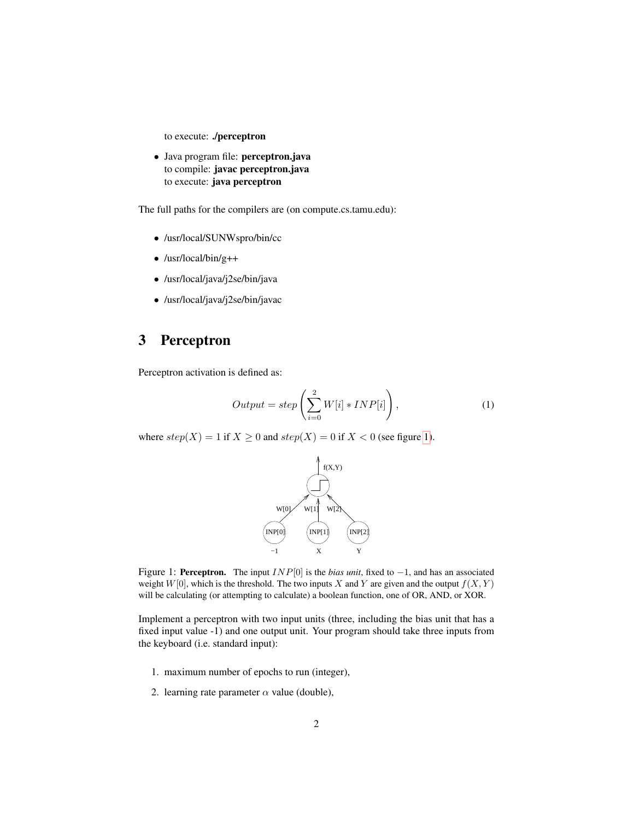to execute: ./perceptron

• Java program file: perceptron.java to compile: javac perceptron.java to execute: java perceptron

The full paths for the compilers are (on compute.cs.tamu.edu):

- /usr/local/SUNWspro/bin/cc
- /usr/local/bin/g++
- /usr/local/java/j2se/bin/java
- /usr/local/java/j2se/bin/javac

# 3 Perceptron

Perceptron activation is defined as:

<span id="page-1-0"></span>
$$
Output = step\left(\sum_{i=0}^{2} W[i] * INFO[i]\right),\tag{1}
$$

where  $step(X) = 1$  if  $X \ge 0$  and  $step(X) = 0$  if  $X < 0$  (see figure [1\)](#page-1-1).



<span id="page-1-1"></span>Figure 1: Perceptron. The input INP[0] is the *bias unit*, fixed to −1, and has an associated weight  $W[0]$ , which is the threshold. The two inputs X and Y are given and the output  $f(X, Y)$ will be calculating (or attempting to calculate) a boolean function, one of OR, AND, or XOR.

Implement a perceptron with two input units (three, including the bias unit that has a fixed input value -1) and one output unit. Your program should take three inputs from the keyboard (i.e. standard input):

- 1. maximum number of epochs to run (integer),
- 2. learning rate parameter  $\alpha$  value (double),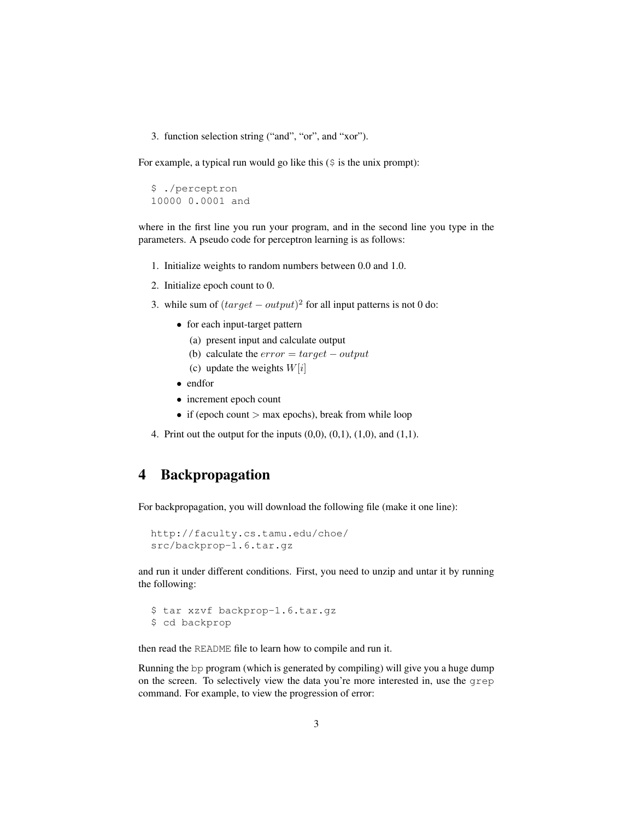3. function selection string ("and", "or", and "xor").

For example, a typical run would go like this  $(\xi)$  is the unix prompt):

```
$ ./perceptron
10000 0.0001 and
```
where in the first line you run your program, and in the second line you type in the parameters. A pseudo code for perceptron learning is as follows:

- 1. Initialize weights to random numbers between 0.0 and 1.0.
- 2. Initialize epoch count to 0.
- 3. while sum of  $(target output)^2$  for all input patterns is not 0 do:
	- for each input-target pattern
		- (a) present input and calculate output
		- (b) calculate the  $error = target output$
		- (c) update the weights  $W[i]$
	- endfor
	- increment epoch count
	- if (epoch count  $>$  max epochs), break from while loop
- 4. Print out the output for the inputs  $(0,0)$ ,  $(0,1)$ ,  $(1,0)$ , and  $(1,1)$ .

## <span id="page-2-0"></span>4 Backpropagation

For backpropagation, you will download the following file (make it one line):

```
http://faculty.cs.tamu.edu/choe/
src/backprop-1.6.tar.gz
```
and run it under different conditions. First, you need to unzip and untar it by running the following:

```
$ tar xzvf backprop-1.6.tar.gz
$ cd backprop
```
then read the README file to learn how to compile and run it.

Running the bp program (which is generated by compiling) will give you a huge dump on the screen. To selectively view the data you're more interested in, use the grep command. For example, to view the progression of error: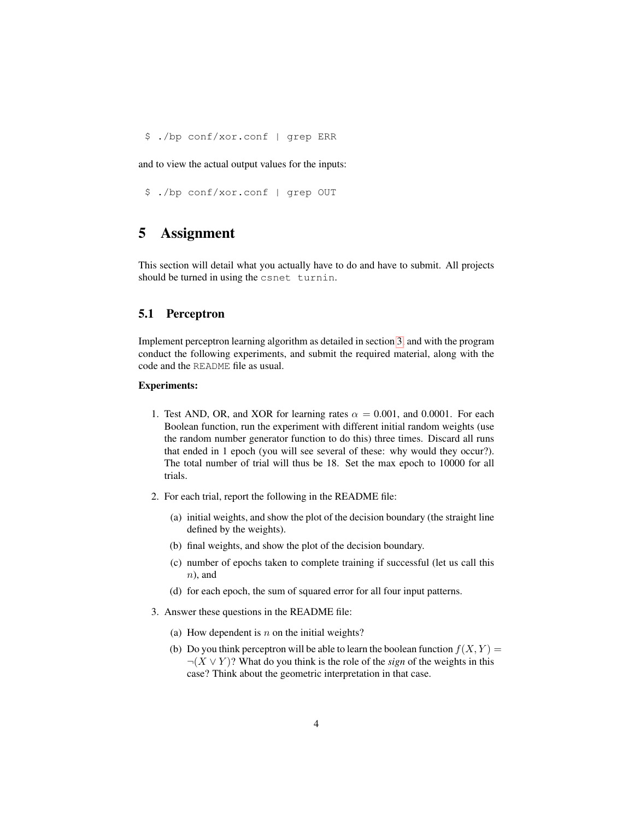\$ ./bp conf/xor.conf | grep ERR

and to view the actual output values for the inputs:

\$ ./bp conf/xor.conf | grep OUT

# <span id="page-3-0"></span>5 Assignment

This section will detail what you actually have to do and have to submit. All projects should be turned in using the csnet turnin.

#### 5.1 Perceptron

Implement perceptron learning algorithm as detailed in section [3,](#page-1-0) and with the program conduct the following experiments, and submit the required material, along with the code and the README file as usual.

#### Experiments:

- 1. Test AND, OR, and XOR for learning rates  $\alpha = 0.001$ , and 0.0001. For each Boolean function, run the experiment with different initial random weights (use the random number generator function to do this) three times. Discard all runs that ended in 1 epoch (you will see several of these: why would they occur?). The total number of trial will thus be 18. Set the max epoch to 10000 for all trials.
- 2. For each trial, report the following in the README file:
	- (a) initial weights, and show the plot of the decision boundary (the straight line defined by the weights).
	- (b) final weights, and show the plot of the decision boundary.
	- (c) number of epochs taken to complete training if successful (let us call this  $n$ ), and
	- (d) for each epoch, the sum of squared error for all four input patterns.
- 3. Answer these questions in the README file:
	- (a) How dependent is  $n$  on the initial weights?
	- (b) Do you think perceptron will be able to learn the boolean function  $f(X, Y) =$ ¬(X ∨ Y )? What do you think is the role of the *sign* of the weights in this case? Think about the geometric interpretation in that case.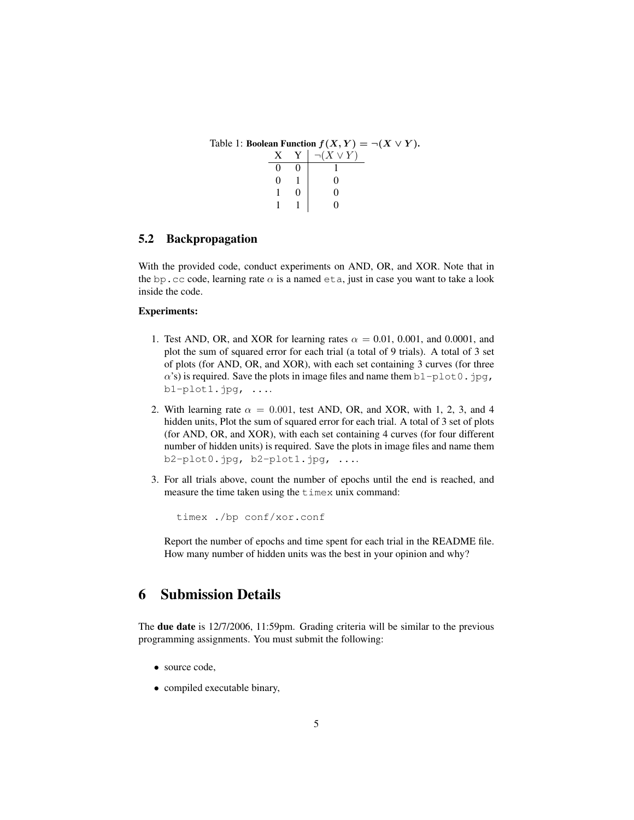| Table 1: Boolean Function $f(X, Y) = \neg(X \lor Y)$ . |  |  |                             |
|--------------------------------------------------------|--|--|-----------------------------|
|                                                        |  |  | $X \ Y \mid \neg(X \lor Y)$ |
|                                                        |  |  |                             |
|                                                        |  |  |                             |
|                                                        |  |  |                             |
|                                                        |  |  |                             |

#### 5.2 Backpropagation

With the provided code, conduct experiments on AND, OR, and XOR. Note that in the bp.cc code, learning rate  $\alpha$  is a named eta, just in case you want to take a look inside the code.

#### Experiments:

- 1. Test AND, OR, and XOR for learning rates  $\alpha = 0.01, 0.001$ , and 0.0001, and plot the sum of squared error for each trial (a total of 9 trials). A total of 3 set of plots (for AND, OR, and XOR), with each set containing 3 curves (for three  $\alpha$ 's) is required. Save the plots in image files and name them b1-plot0.jpg, b1-plot1.jpg, ....
- 2. With learning rate  $\alpha = 0.001$ , test AND, OR, and XOR, with 1, 2, 3, and 4 hidden units, Plot the sum of squared error for each trial. A total of 3 set of plots (for AND, OR, and XOR), with each set containing 4 curves (for four different number of hidden units) is required. Save the plots in image files and name them b2-plot0.jpg, b2-plot1.jpg, ....
- 3. For all trials above, count the number of epochs until the end is reached, and measure the time taken using the timex unix command:

timex ./bp conf/xor.conf

Report the number of epochs and time spent for each trial in the README file. How many number of hidden units was the best in your opinion and why?

### <span id="page-4-0"></span>6 Submission Details

The due date is 12/7/2006, 11:59pm. Grading criteria will be similar to the previous programming assignments. You must submit the following:

- source code,
- compiled executable binary,